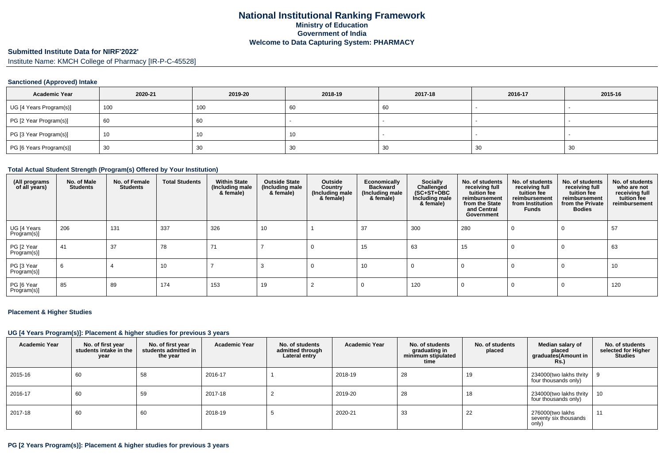# **National Institutional Ranking FrameworkMinistry of Education Government of IndiaWelcome to Data Capturing System: PHARMACY**

# **Submitted Institute Data for NIRF'2022'**

Institute Name: KMCH College of Pharmacy [IR-P-C-45528]

### **Sanctioned (Approved) Intake**

| <b>Academic Year</b>    | 2020-21 | 2019-20 | 2018-19 | 2017-18 | 2016-17 | 2015-16                  |
|-------------------------|---------|---------|---------|---------|---------|--------------------------|
| UG [4 Years Program(s)] | 100     | 100     | 60      | -60     |         | $\overline{\phantom{a}}$ |
| PG [2 Year Program(s)]  | 60      | 60      |         |         |         |                          |
| PG [3 Year Program(s)]  | 10      | ιν.     | 10      |         |         |                          |
| PG [6 Years Program(s)] | 30      | 30      | 30      | 30      | 30      | 30                       |

#### **Total Actual Student Strength (Program(s) Offered by Your Institution)**

| (All programs<br>of all years) | No. of Male<br><b>Students</b> | No. of Female<br><b>Students</b> | <b>Total Students</b> | <b>Within State</b><br>(Including male<br>& female) | <b>Outside State</b><br>(Including male<br>& female) | Outside<br>Country<br>(Including male)<br>& female) | Economically<br><b>Backward</b><br>(Including male<br>& female) | Socially<br>Challenged<br>$(SC+ST+OBC)$<br>Including male<br>& female) | No. of students<br>receiving full<br>tuition fee<br>reimbursement<br>from the State<br>and Central<br>Government | No. of students<br>receiving full<br>tuition fee<br>reimbursement<br>from Institution<br>Funds | No. of students<br>receiving full<br>tuition fee<br>reimbursement<br>from the Private<br><b>Bodies</b> | No. of students<br>who are not<br>receiving full<br>tuition fee<br>reimbursement |
|--------------------------------|--------------------------------|----------------------------------|-----------------------|-----------------------------------------------------|------------------------------------------------------|-----------------------------------------------------|-----------------------------------------------------------------|------------------------------------------------------------------------|------------------------------------------------------------------------------------------------------------------|------------------------------------------------------------------------------------------------|--------------------------------------------------------------------------------------------------------|----------------------------------------------------------------------------------|
| UG [4 Years<br>Program(s)]     | 206                            | 131                              | 337                   | 326                                                 | 10                                                   |                                                     | 37                                                              | 300                                                                    | 280                                                                                                              | 0                                                                                              | $\Omega$                                                                                               | 57                                                                               |
| PG [2 Year<br>Program(s)]      | 41                             | 37                               | 78                    | 71                                                  |                                                      |                                                     | 15                                                              | 63                                                                     | 15                                                                                                               | 0                                                                                              | $\Omega$                                                                                               | 63                                                                               |
| PG [3 Year<br>Program(s)]      | 6                              |                                  | 10                    |                                                     |                                                      | 0                                                   | 10                                                              | 0                                                                      |                                                                                                                  | 0                                                                                              | $\Omega$                                                                                               | 10                                                                               |
| PG [6 Year<br>Program(s)]      | 85                             | 89                               | 174                   | 153                                                 | 19                                                   |                                                     |                                                                 | 120                                                                    |                                                                                                                  | $\Omega$                                                                                       | $\Omega$                                                                                               | 120                                                                              |

#### **Placement & Higher Studies**

#### **UG [4 Years Program(s)]: Placement & higher studies for previous 3 years**

| <b>Academic Year</b> | No. of first year<br>students intake in the<br>year | No. of first year<br>students admitted in<br>the year | <b>Academic Year</b> | No. of students<br>admitted through<br>Lateral entry | <b>Academic Year</b> | No. of students<br>graduating in<br>minimum stipulated<br>time | No. of students<br>placed | Median salary of<br>placed<br>graduates(Amount in<br><b>Rs.)</b> | No. of students<br>selected for Higher<br><b>Studies</b> |
|----------------------|-----------------------------------------------------|-------------------------------------------------------|----------------------|------------------------------------------------------|----------------------|----------------------------------------------------------------|---------------------------|------------------------------------------------------------------|----------------------------------------------------------|
| 2015-16              | 60                                                  | 58                                                    | 2016-17              |                                                      | 2018-19              | 28                                                             | 19                        | 234000(two lakhs thrity<br>four thousands only)                  |                                                          |
| 2016-17              | 60                                                  | 59                                                    | 2017-18              |                                                      | 2019-20              | 28                                                             | 18                        | 234000(two lakhs thrity<br>four thousands only)                  | 10                                                       |
| 2017-18              | 60                                                  | 60                                                    | 2018-19              |                                                      | 2020-21              | 33                                                             | 22                        | 276000(two lakhs<br>seventy six thousands<br>only)               | 11                                                       |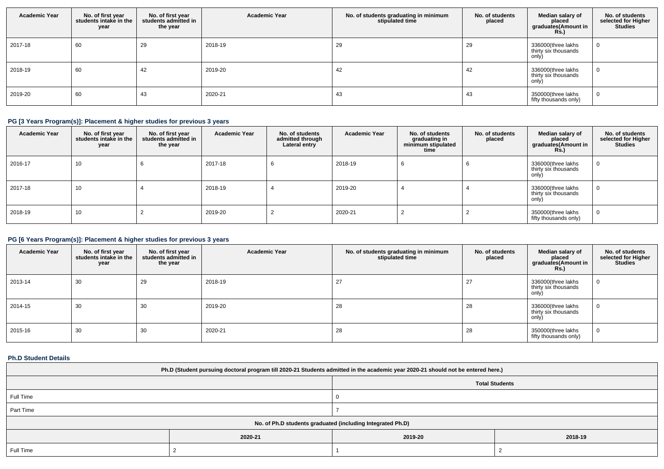| <b>Academic Year</b> | No. of first year<br>students intake in the<br>year | No. of first year<br>students admitted in<br>the year | <b>Academic Year</b> | No. of students graduating in minimum<br>stipulated time | No. of students<br>placed | Median salary of<br>placed<br>graduates(Amount in<br><b>Rs.)</b> | No. of students<br>selected for Higher<br><b>Studies</b> |
|----------------------|-----------------------------------------------------|-------------------------------------------------------|----------------------|----------------------------------------------------------|---------------------------|------------------------------------------------------------------|----------------------------------------------------------|
| 2017-18              | 60                                                  | 29                                                    | 2018-19              | 29                                                       | 29                        | 336000(three lakhs<br>thirty six thousands<br>only)              |                                                          |
| 2018-19              | 60                                                  | 42                                                    | 2019-20              | 42                                                       | 42                        | 336000(three lakhs<br>thirty six thousands<br>only)              |                                                          |
| 2019-20              | 60                                                  | 43                                                    | 2020-21              | 43                                                       | 43                        | 350000(three lakhs<br>fifty thousands only)                      |                                                          |

# **PG [3 Years Program(s)]: Placement & higher studies for previous 3 years**

| <b>Academic Year</b> | No. of first year<br>students intake in the<br>year | No. of first vear<br>students admitted in<br>the year | <b>Academic Year</b> | No. of students<br>admitted through<br>Lateral entry | <b>Academic Year</b> | No. of students<br>graduating in<br>minimum stipulated<br>time | No. of students<br>placed | Median salary of<br>placed<br>graduates(Amount in<br><b>Rs.)</b> | No. of students<br>selected for Higher<br><b>Studies</b> |
|----------------------|-----------------------------------------------------|-------------------------------------------------------|----------------------|------------------------------------------------------|----------------------|----------------------------------------------------------------|---------------------------|------------------------------------------------------------------|----------------------------------------------------------|
| 2016-17              | 10                                                  |                                                       | 2017-18              |                                                      | 2018-19              |                                                                |                           | 336000(three lakhs<br>thirty six thousands<br>only)              |                                                          |
| 2017-18              | 10                                                  |                                                       | 2018-19              |                                                      | 2019-20              |                                                                |                           | 336000(three lakhs<br>thirty six thousands<br>only)              |                                                          |
| 2018-19              | 10                                                  |                                                       | 2019-20              |                                                      | 2020-21              |                                                                |                           | 350000(three lakhs<br>fifty thousands only)                      |                                                          |

# **PG [6 Years Program(s)]: Placement & higher studies for previous 3 years**

| <b>Academic Year</b> | No. of first year<br>students intake in the<br>year | No. of first year<br>students admitted in<br>the year | <b>Academic Year</b> | No. of students graduating in minimum<br>stipulated time | No. of students<br>placed | Median salary of<br>placed<br>graduates(Amount in<br><b>Rs.)</b> | No. of students<br>selected for Higher<br><b>Studies</b> |
|----------------------|-----------------------------------------------------|-------------------------------------------------------|----------------------|----------------------------------------------------------|---------------------------|------------------------------------------------------------------|----------------------------------------------------------|
| 2013-14              | 30                                                  | 29                                                    | 2018-19              | 27                                                       | 27                        | 336000(three lakhs<br>thirty six thousands<br>only)              |                                                          |
| 2014-15              | 30                                                  | 30                                                    | 2019-20              | 28                                                       | 28                        | 336000(three lakhs<br>thirty six thousands<br>only)              |                                                          |
| 2015-16              | 30                                                  | 30                                                    | 2020-21              | 28                                                       | 28                        | 350000(three lakhs<br>fifty thousands only)                      |                                                          |

## **Ph.D Student Details**

| Ph.D (Student pursuing doctoral program till 2020-21 Students admitted in the academic year 2020-21 should not be entered here.) |                               |  |  |  |  |
|----------------------------------------------------------------------------------------------------------------------------------|-------------------------------|--|--|--|--|
| <b>Total Students</b>                                                                                                            |                               |  |  |  |  |
| Full Time                                                                                                                        |                               |  |  |  |  |
| Part Time                                                                                                                        |                               |  |  |  |  |
| No. of Ph.D students graduated (including Integrated Ph.D)                                                                       |                               |  |  |  |  |
|                                                                                                                                  | 2018-19<br>2020-21<br>2019-20 |  |  |  |  |
| Full Time                                                                                                                        |                               |  |  |  |  |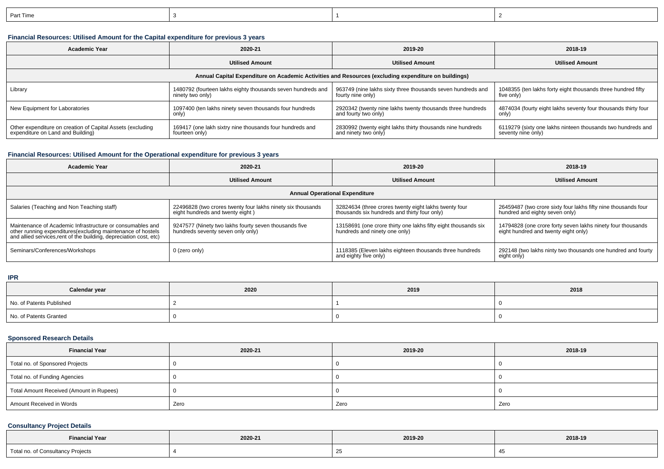| art lime |  |  |
|----------|--|--|
|          |  |  |

# **Financial Resources: Utilised Amount for the Capital expenditure for previous 3 years**

| <b>Academic Year</b><br>2020-21                                                                      |                                                             | 2019-20                                                     | 2018-19                                                        |  |  |  |  |
|------------------------------------------------------------------------------------------------------|-------------------------------------------------------------|-------------------------------------------------------------|----------------------------------------------------------------|--|--|--|--|
|                                                                                                      | <b>Utilised Amount</b>                                      | <b>Utilised Amount</b>                                      | <b>Utilised Amount</b>                                         |  |  |  |  |
| Annual Capital Expenditure on Academic Activities and Resources (excluding expenditure on buildings) |                                                             |                                                             |                                                                |  |  |  |  |
| Library                                                                                              | 1480792 (fourteen lakhs eighty thousands seven hundreds and | 963749 (nine lakhs sixty three thousands seven hundreds and | 1048355 (ten lakhs forty eight thousands three hundred fifty   |  |  |  |  |
|                                                                                                      | ninety two only)                                            | fourty nine only)                                           | five only)                                                     |  |  |  |  |
| New Equipment for Laboratories                                                                       | 1097400 (ten lakhs ninety seven thousands four hundreds     | 2920342 (twenty nine lakhs twenty thousands three hundreds  | 4874034 (fourty eight lakhs seventy four thousands thirty four |  |  |  |  |
|                                                                                                      | only)                                                       | and fourty two only)                                        | only)                                                          |  |  |  |  |
| Other expenditure on creation of Capital Assets (excluding                                           | 169417 (one lakh sixtry nine thousands four hundreds and    | 2830992 (twenty eight lakhs thirty thousands nine hundreds  | 6119279 (sixty one lakhs ninteen thousands two hundreds and    |  |  |  |  |
| expenditure on Land and Building)                                                                    | fourteen only)                                              | and ninety two only)                                        | seventy nine only)                                             |  |  |  |  |

# **Financial Resources: Utilised Amount for the Operational expenditure for previous 3 years**

| <b>Academic Year</b>                                                                                                                                                                            | 2020-21                                                                                         | 2019-20                                                                                               | 2018-19                                                                                             |  |  |  |  |
|-------------------------------------------------------------------------------------------------------------------------------------------------------------------------------------------------|-------------------------------------------------------------------------------------------------|-------------------------------------------------------------------------------------------------------|-----------------------------------------------------------------------------------------------------|--|--|--|--|
|                                                                                                                                                                                                 | <b>Utilised Amount</b>                                                                          | <b>Utilised Amount</b>                                                                                | <b>Utilised Amount</b>                                                                              |  |  |  |  |
| <b>Annual Operational Expenditure</b>                                                                                                                                                           |                                                                                                 |                                                                                                       |                                                                                                     |  |  |  |  |
| Salaries (Teaching and Non Teaching staff)                                                                                                                                                      | 22496828 (two crores twenty four lakhs ninety six thousands<br>eight hundreds and twenty eight) | 32824634 (three crores twenty eight lakhs twenty four<br>thousands six hundreds and thirty four only) | 26459487 (two crore sixty four lakhs fifty nine thousands four<br>hundred and eighty seven only)    |  |  |  |  |
| Maintenance of Academic Infrastructure or consumables and<br>other running expenditures (excluding maintenance of hostels<br>and allied services, rent of the building, depreciation cost, etc) | 9247577 (Ninety two lakhs fourty seven thousands five<br>hundreds seventy seven only only)      | 13158691 (one crore thirty one lakhs fifty eight thousands six<br>hundreds and ninety one only)       | 14794828 (one crore forty seven lakhs ninety four thousands<br>eight hundred and twenty eight only) |  |  |  |  |
| Seminars/Conferences/Workshops                                                                                                                                                                  | 0 (zero only)                                                                                   | 1118385 (Eleven lakhs eighteen thousands three hundreds<br>and eighty five only)                      | 292148 (two lakhs ninty two thousands one hundred and fourty<br>eight only)                         |  |  |  |  |

# **IPR**

| Calendar year            | 2020 | 2019 | 2018 |
|--------------------------|------|------|------|
| No. of Patents Published |      |      |      |
| No. of Patents Granted   |      |      |      |

### **Sponsored Research Details**

| <b>Financial Year</b>                    | 2020-21 | 2019-20 | 2018-19 |
|------------------------------------------|---------|---------|---------|
| Total no. of Sponsored Projects          |         |         |         |
| Total no. of Funding Agencies            |         |         |         |
| Total Amount Received (Amount in Rupees) |         |         |         |
| Amount Received in Words                 | Zero    | Zero    | Zero    |

# **Consultancy Project Details**

| <b>Financial Year</b>             | 2020-21 | 2019-20 | 2018-19 |
|-----------------------------------|---------|---------|---------|
| Total no. of Consultancy Projects |         | ້       |         |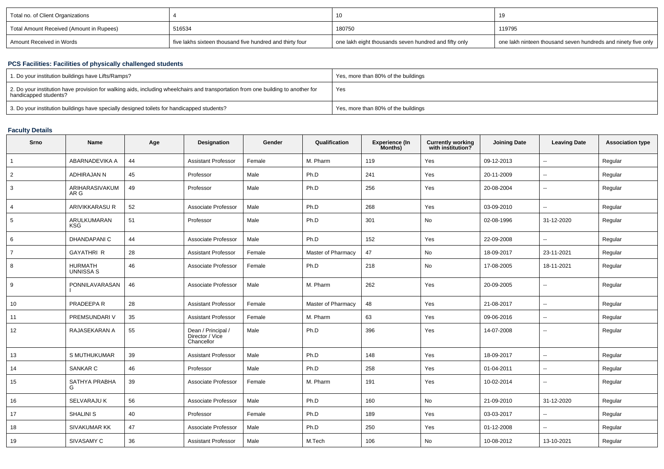| Total no. of Client Organizations        |                                                          |                                                       |                                                               |
|------------------------------------------|----------------------------------------------------------|-------------------------------------------------------|---------------------------------------------------------------|
| Total Amount Received (Amount in Rupees) | 516534                                                   | 180750                                                | 119795                                                        |
| 'Amount Received in Words                | five lakhs sixteen thousand five hundred and thirty four | one lakh eight thousands seven hundred and fifty only | one lakh ninteen thousand seven hundreds and ninety five only |

# **PCS Facilities: Facilities of physically challenged students**

| 1. Do your institution buildings have Lifts/Ramps?                                                                                                         | Yes, more than 80% of the buildings |
|------------------------------------------------------------------------------------------------------------------------------------------------------------|-------------------------------------|
| 2. Do your institution have provision for walking aids, including wheelchairs and transportation from one building to another for<br>handicapped students? | Yes                                 |
| 3. Do your institution buildings have specially designed toilets for handicapped students?                                                                 | Yes, more than 80% of the buildings |

## **Faculty Details**

| Srno            | <b>Name</b>                        | Age | Designation                                         | Gender | Qualification      | <b>Experience (In</b><br>Months) | <b>Currently working</b><br>with institution? | <b>Joining Date</b> | <b>Leaving Date</b>      | <b>Association type</b> |
|-----------------|------------------------------------|-----|-----------------------------------------------------|--------|--------------------|----------------------------------|-----------------------------------------------|---------------------|--------------------------|-------------------------|
| $\overline{1}$  | ABARNADEVIKA A                     | 44  | <b>Assistant Professor</b>                          | Female | M. Pharm           | 119                              | Yes                                           | 09-12-2013          | $\overline{\phantom{a}}$ | Regular                 |
| 2               | ADHIRAJAN N                        | 45  | Professor                                           | Male   | Ph.D               | 241                              | Yes                                           | 20-11-2009          | $\overline{\phantom{a}}$ | Regular                 |
| 3               | ARIHARASIVAKUM<br>AR G             | 49  | Professor                                           | Male   | Ph.D               | 256                              | Yes                                           | 20-08-2004          | $\overline{\phantom{a}}$ | Regular                 |
| $\overline{4}$  | <b>ARIVIKKARASUR</b>               | 52  | Associate Professor                                 | Male   | Ph.D               | 268                              | Yes                                           | 03-09-2010          | --                       | Regular                 |
| 5               | ARULKUMARAN<br><b>KSG</b>          | 51  | Professor                                           | Male   | Ph.D               | 301                              | No                                            | 02-08-1996          | 31-12-2020               | Regular                 |
| 6               | <b>DHANDAPANIC</b>                 | 44  | Associate Professor                                 | Male   | Ph.D               | 152                              | Yes                                           | 22-09-2008          | $\overline{\phantom{a}}$ | Regular                 |
| $\overline{7}$  | <b>GAYATHRI R</b>                  | 28  | <b>Assistant Professor</b>                          | Female | Master of Pharmacy | 47                               | No                                            | 18-09-2017          | 23-11-2021               | Regular                 |
| 8               | <b>HURMATH</b><br><b>UNNISSA S</b> | 46  | Associate Professor                                 | Female | Ph.D               | 218                              | No                                            | 17-08-2005          | 18-11-2021               | Regular                 |
| 9               | PONNILAVARASAN                     | 46  | Associate Professor                                 | Male   | M. Pharm           | 262                              | Yes                                           | 20-09-2005          | $\overline{\phantom{a}}$ | Regular                 |
| 10 <sup>1</sup> | PRADEEPA R                         | 28  | <b>Assistant Professor</b>                          | Female | Master of Pharmacy | 48                               | Yes                                           | 21-08-2017          | $\overline{a}$           | Regular                 |
| 11              | PREMSUNDARI V                      | 35  | <b>Assistant Professor</b>                          | Female | M. Pharm           | 63                               | Yes                                           | 09-06-2016          | $\overline{\phantom{a}}$ | Regular                 |
| 12              | RAJASEKARAN A                      | 55  | Dean / Principal /<br>Director / Vice<br>Chancellor | Male   | Ph.D               | 396                              | Yes                                           | 14-07-2008          | $\overline{\phantom{a}}$ | Regular                 |
| 13              | S MUTHUKUMAR                       | 39  | <b>Assistant Professor</b>                          | Male   | Ph.D               | 148                              | Yes                                           | 18-09-2017          | $\overline{a}$           | Regular                 |
| 14              | SANKAR C                           | 46  | Professor                                           | Male   | Ph.D               | 258                              | Yes                                           | 01-04-2011          | $\overline{\phantom{a}}$ | Regular                 |
| 15              | SATHYA PRABHA<br>G                 | 39  | Associate Professor                                 | Female | M. Pharm           | 191                              | Yes                                           | 10-02-2014          | --                       | Regular                 |
| 16              | <b>SELVARAJU K</b>                 | 56  | Associate Professor                                 | Male   | Ph.D               | 160                              | No                                            | 21-09-2010          | 31-12-2020               | Regular                 |
| 17              | <b>SHALINI S</b>                   | 40  | Professor                                           | Female | Ph.D               | 189                              | Yes                                           | 03-03-2017          | --                       | Regular                 |
| 18              | SIVAKUMAR KK                       | 47  | Associate Professor                                 | Male   | Ph.D               | 250                              | Yes                                           | 01-12-2008          | $\overline{a}$           | Regular                 |
| 19              | SIVASAMY C                         | 36  | <b>Assistant Professor</b>                          | Male   | M.Tech             | 106                              | No                                            | 10-08-2012          | 13-10-2021               | Regular                 |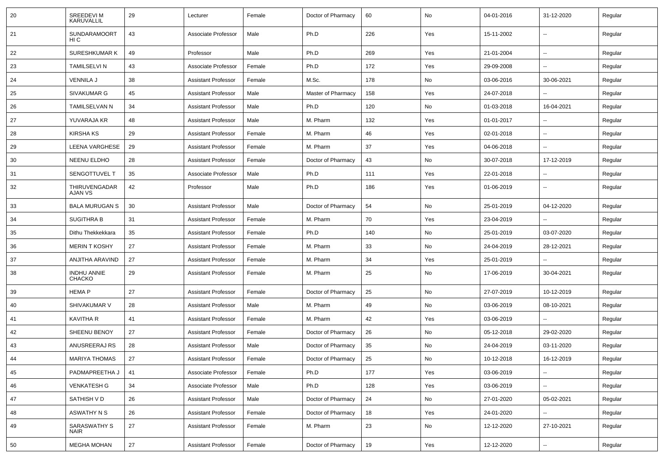| -20 | SREEDEVI M<br>KARUVALLIL            | 29 | Lecturer                   | Female | Doctor of Pharmacy | 60  | No  | 04-01-2016 | 31-12-2020               | Regular |
|-----|-------------------------------------|----|----------------------------|--------|--------------------|-----|-----|------------|--------------------------|---------|
| 21  | SUNDARAMOORT<br>HI C                | 43 | Associate Professor        | Male   | Ph.D               | 226 | Yes | 15-11-2002 | $\overline{\phantom{a}}$ | Regular |
| 22  | <b>SURESHKUMAR K</b>                | 49 | Professor                  | Male   | Ph.D               | 269 | Yes | 21-01-2004 | $\sim$                   | Regular |
| 23  | <b>TAMILSELVI N</b>                 | 43 | Associate Professor        | Female | Ph.D               | 172 | Yes | 29-09-2008 |                          | Regular |
| 24  | <b>VENNILA J</b>                    | 38 | <b>Assistant Professor</b> | Female | M.Sc.              | 178 | No  | 03-06-2016 | 30-06-2021               | Regular |
| 25  | SIVAKUMAR G                         | 45 | <b>Assistant Professor</b> | Male   | Master of Pharmacy | 158 | Yes | 24-07-2018 |                          | Regular |
| 26  | <b>TAMILSELVAN N</b>                | 34 | <b>Assistant Professor</b> | Male   | Ph.D               | 120 | No  | 01-03-2018 | 16-04-2021               | Regular |
| 27  | YUVARAJA KR                         | 48 | <b>Assistant Professor</b> | Male   | M. Pharm           | 132 | Yes | 01-01-2017 |                          | Regular |
| 28  | <b>KIRSHA KS</b>                    | 29 | <b>Assistant Professor</b> | Female | M. Pharm           | 46  | Yes | 02-01-2018 | $\overline{\phantom{a}}$ | Regular |
| 29  | LEENA VARGHESE                      | 29 | <b>Assistant Professor</b> | Female | M. Pharm           | 37  | Yes | 04-06-2018 | ۰.                       | Regular |
| 30  | NEENU ELDHO                         | 28 | <b>Assistant Professor</b> | Female | Doctor of Pharmacy | 43  | No  | 30-07-2018 | 17-12-2019               | Regular |
| 31  | SENGOTTUVEL T                       | 35 | Associate Professor        | Male   | Ph.D               | 111 | Yes | 22-01-2018 |                          | Regular |
| 32  | THIRUVENGADAR<br>AJAN VS            | 42 | Professor                  | Male   | Ph.D               | 186 | Yes | 01-06-2019 |                          | Regular |
| 33  | <b>BALA MURUGAN S</b>               | 30 | <b>Assistant Professor</b> | Male   | Doctor of Pharmacy | 54  | No  | 25-01-2019 | 04-12-2020               | Regular |
| 34  | <b>SUGITHRA B</b>                   | 31 | <b>Assistant Professor</b> | Female | M. Pharm           | 70  | Yes | 23-04-2019 |                          | Regular |
| 35  | Dithu Thekkekkara                   | 35 | <b>Assistant Professor</b> | Female | Ph.D               | 140 | No  | 25-01-2019 | 03-07-2020               | Regular |
| 36  | <b>MERIN T KOSHY</b>                | 27 | <b>Assistant Professor</b> | Female | M. Pharm           | 33  | No  | 24-04-2019 | 28-12-2021               | Regular |
| 37  | ANJITHA ARAVIND                     | 27 | Assistant Professor        | Female | M. Pharm           | 34  | Yes | 25-01-2019 |                          | Regular |
| 38  | <b>INDHU ANNIE</b><br><b>CHACKO</b> | 29 | <b>Assistant Professor</b> | Female | M. Pharm           | 25  | No  | 17-06-2019 | 30-04-2021               | Regular |
| 39  | <b>HEMAP</b>                        | 27 | <b>Assistant Professor</b> | Female | Doctor of Pharmacy | 25  | No  | 27-07-2019 | 10-12-2019               | Regular |
| 40  | SHIVAKUMAR V                        | 28 | <b>Assistant Professor</b> | Male   | M. Pharm           | 49  | No  | 03-06-2019 | 08-10-2021               | Regular |
| 41  | <b>KAVITHA R</b>                    | 41 | <b>Assistant Professor</b> | Female | M. Pharm           | 42  | Yes | 03-06-2019 |                          | Regular |
| 42  | <b>SHEENU BENOY</b>                 | 27 | <b>Assistant Professor</b> | Female | Doctor of Pharmacy | 26  | No  | 05-12-2018 | 29-02-2020               | Regular |
| 43  | ANUSREERAJ RS                       | 28 | <b>Assistant Professor</b> | Male   | Doctor of Pharmacy | 35  | No  | 24-04-2019 | 03-11-2020               | Regular |
| 44  | <b>MARIYA THOMAS</b>                | 27 | <b>Assistant Professor</b> | Female | Doctor of Pharmacy | 25  | No  | 10-12-2018 | 16-12-2019               | Regular |
| 45  | PADMAPREETHA J                      | 41 | Associate Professor        | Female | Ph.D               | 177 | Yes | 03-06-2019 | --                       | Regular |
| 46  | <b>VENKATESH G</b>                  | 34 | Associate Professor        | Male   | Ph.D               | 128 | Yes | 03-06-2019 | Ξ.                       | Regular |
| 47  | SATHISH V D                         | 26 | <b>Assistant Professor</b> | Male   | Doctor of Pharmacy | 24  | No  | 27-01-2020 | 05-02-2021               | Regular |
| 48  | <b>ASWATHY N S</b>                  | 26 | <b>Assistant Professor</b> | Female | Doctor of Pharmacy | 18  | Yes | 24-01-2020 | $\overline{\phantom{a}}$ | Regular |
| 49  | SARASWATHY S<br><b>NAIR</b>         | 27 | <b>Assistant Professor</b> | Female | M. Pharm           | 23  | No  | 12-12-2020 | 27-10-2021               | Regular |
| 50  | <b>MEGHA MOHAN</b>                  | 27 | <b>Assistant Professor</b> | Female | Doctor of Pharmacy | 19  | Yes | 12-12-2020 | $\sim$                   | Regular |